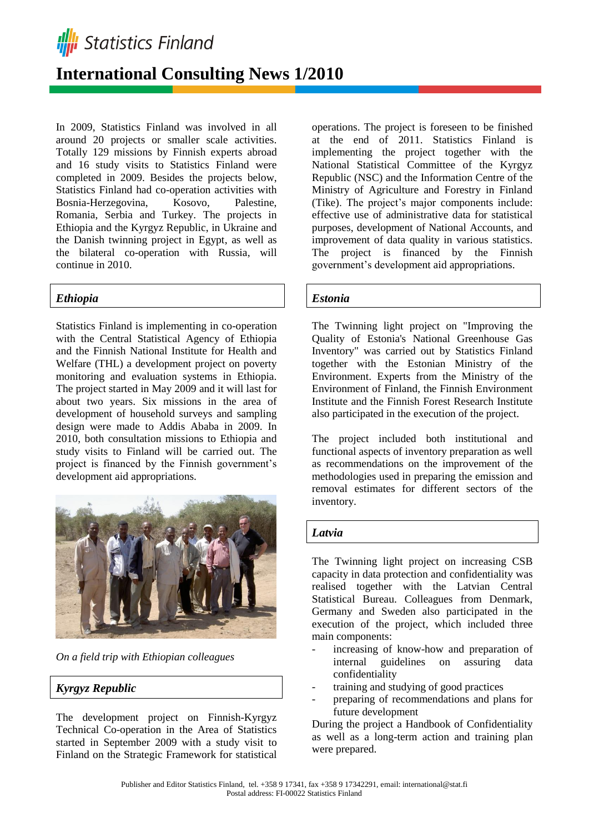

# **International Consulting News 1/2010**

In 2009, Statistics Finland was involved in all around 20 projects or smaller scale activities. Totally 129 missions by Finnish experts abroad and 16 study visits to Statistics Finland were completed in 2009. Besides the projects below, Statistics Finland had co-operation activities with Bosnia-Herzegovina, Kosovo, Palestine, Romania, Serbia and Turkey. The projects in Ethiopia and the Kyrgyz Republic, in Ukraine and the Danish twinning project in Egypt, as well as the bilateral co-operation with Russia, will continue in 2010.

## *Ethiopia*

Statistics Finland is implementing in co-operation with the Central Statistical Agency of Ethiopia and the Finnish National Institute for Health and Welfare (THL) a development project on poverty monitoring and evaluation systems in Ethiopia. The project started in May 2009 and it will last for about two years. Six missions in the area of development of household surveys and sampling design were made to Addis Ababa in 2009. In 2010, both consultation missions to Ethiopia and study visits to Finland will be carried out. The project is financed by the Finnish government's development aid appropriations.



*On a field trip with Ethiopian colleagues*

## *Kyrgyz Republic*

The development project on Finnish-Kyrgyz Technical Co-operation in the Area of Statistics started in September 2009 with a study visit to Finland on the Strategic Framework for statistical

operations. The project is foreseen to be finished at the end of 2011. Statistics Finland is implementing the project together with the National Statistical Committee of the Kyrgyz Republic (NSC) and the Information Centre of the Ministry of Agriculture and Forestry in Finland (Tike). The project's major components include: effective use of administrative data for statistical purposes, development of National Accounts, and improvement of data quality in various statistics. The project is financed by the Finnish government's development aid appropriations.

## *Estonia*

The Twinning light project on "Improving the Quality of Estonia's National Greenhouse Gas Inventory" was carried out by Statistics Finland together with the Estonian Ministry of the Environment. Experts from the Ministry of the Environment of Finland, the Finnish Environment Institute and the Finnish Forest Research Institute also participated in the execution of the project.

The project included both institutional and functional aspects of inventory preparation as well as recommendations on the improvement of the methodologies used in preparing the emission and removal estimates for different sectors of the inventory.

#### *Latvia*

The Twinning light project on increasing CSB capacity in data protection and confidentiality was realised together with the Latvian Central Statistical Bureau. Colleagues from Denmark, Germany and Sweden also participated in the execution of the project, which included three main components:

- increasing of know-how and preparation of internal guidelines on assuring data confidentiality
- training and studying of good practices
- preparing of recommendations and plans for future development

During the project a Handbook of Confidentiality as well as a long-term action and training plan were prepared.